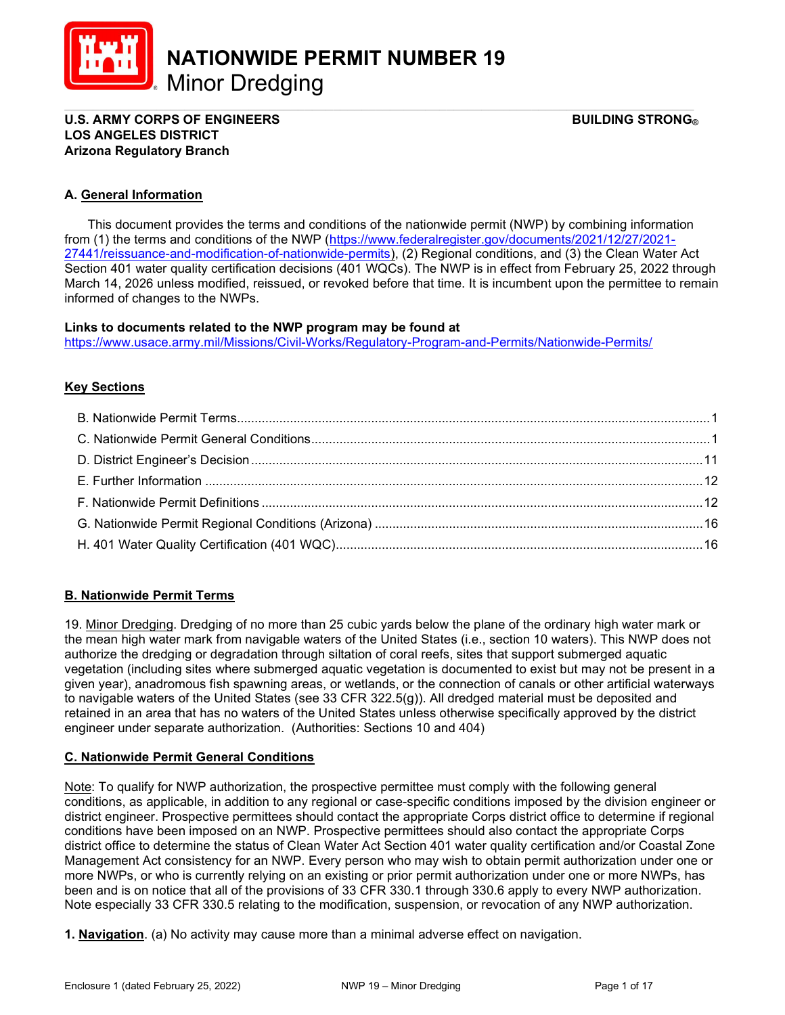

NATIONWIDE PERMIT NUMBER 19

\_\_\_\_\_\_\_\_\_\_\_\_\_\_\_\_\_\_\_\_\_\_\_\_\_\_\_\_\_\_\_\_\_\_\_\_\_\_\_\_\_\_\_\_\_\_\_\_\_\_\_\_\_\_\_\_\_\_\_\_\_\_\_\_\_\_\_\_\_\_\_\_\_\_\_\_\_\_\_\_\_\_\_\_\_\_\_\_\_ U.S. ARMY CORPS OF ENGINEERS GEET ALL THE STRONG BUILDING STRONG BUILDING STRONG BUILDING STRONG BUILDING STRONG LOS ANGELES DISTRICT Arizona Regulatory Branch

# A. General Information

 This document provides the terms and conditions of the nationwide permit (NWP) by combining information from (1) the terms and conditions of the NWP (https://www.federalregister.gov/documents/2021/12/27/2021- 27441/reissuance-and-modification-of-nationwide-permits), (2) Regional conditions, and (3) the Clean Water Act Section 401 water quality certification decisions (401 WQCs). The NWP is in effect from February 25, 2022 through March 14, 2026 unless modified, reissued, or revoked before that time. It is incumbent upon the permittee to remain informed of changes to the NWPs.

#### Links to documents related to the NWP program may be found at

https://www.usace.army.mil/Missions/Civil-Works/Regulatory-Program-and-Permits/Nationwide-Permits/

# **Key Sections**

# B. Nationwide Permit Terms

19. Minor Dredging. Dredging of no more than 25 cubic yards below the plane of the ordinary high water mark or the mean high water mark from navigable waters of the United States (i.e., section 10 waters). This NWP does not authorize the dredging or degradation through siltation of coral reefs, sites that support submerged aquatic vegetation (including sites where submerged aquatic vegetation is documented to exist but may not be present in a given year), anadromous fish spawning areas, or wetlands, or the connection of canals or other artificial waterways to navigable waters of the United States (see 33 CFR 322.5(g)). All dredged material must be deposited and retained in an area that has no waters of the United States unless otherwise specifically approved by the district engineer under separate authorization. (Authorities: Sections 10 and 404)

# C. Nationwide Permit General Conditions

Note: To qualify for NWP authorization, the prospective permittee must comply with the following general conditions, as applicable, in addition to any regional or case-specific conditions imposed by the division engineer or district engineer. Prospective permittees should contact the appropriate Corps district office to determine if regional conditions have been imposed on an NWP. Prospective permittees should also contact the appropriate Corps district office to determine the status of Clean Water Act Section 401 water quality certification and/or Coastal Zone Management Act consistency for an NWP. Every person who may wish to obtain permit authorization under one or more NWPs, or who is currently relying on an existing or prior permit authorization under one or more NWPs, has been and is on notice that all of the provisions of 33 CFR 330.1 through 330.6 apply to every NWP authorization. Note especially 33 CFR 330.5 relating to the modification, suspension, or revocation of any NWP authorization.

1. Navigation. (a) No activity may cause more than a minimal adverse effect on navigation.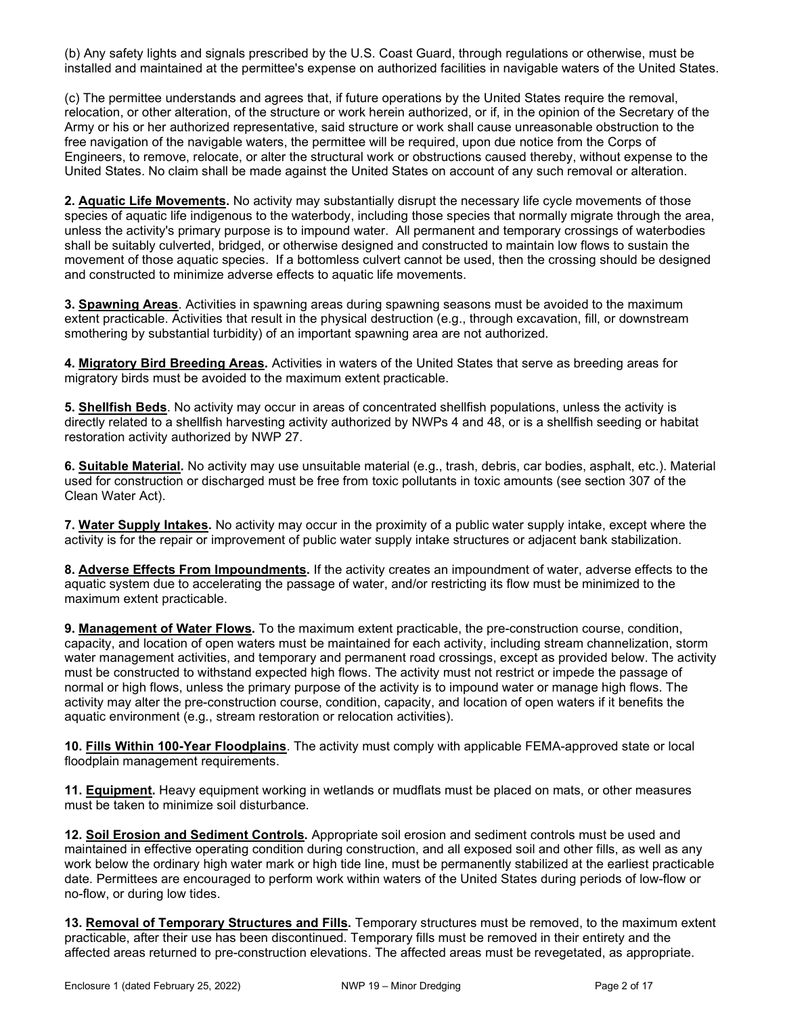(b) Any safety lights and signals prescribed by the U.S. Coast Guard, through regulations or otherwise, must be installed and maintained at the permittee's expense on authorized facilities in navigable waters of the United States.

(c) The permittee understands and agrees that, if future operations by the United States require the removal, relocation, or other alteration, of the structure or work herein authorized, or if, in the opinion of the Secretary of the Army or his or her authorized representative, said structure or work shall cause unreasonable obstruction to the free navigation of the navigable waters, the permittee will be required, upon due notice from the Corps of Engineers, to remove, relocate, or alter the structural work or obstructions caused thereby, without expense to the United States. No claim shall be made against the United States on account of any such removal or alteration.

2. Aquatic Life Movements. No activity may substantially disrupt the necessary life cycle movements of those species of aquatic life indigenous to the waterbody, including those species that normally migrate through the area, unless the activity's primary purpose is to impound water. All permanent and temporary crossings of waterbodies shall be suitably culverted, bridged, or otherwise designed and constructed to maintain low flows to sustain the movement of those aquatic species. If a bottomless culvert cannot be used, then the crossing should be designed and constructed to minimize adverse effects to aquatic life movements.

3. Spawning Areas. Activities in spawning areas during spawning seasons must be avoided to the maximum extent practicable. Activities that result in the physical destruction (e.g., through excavation, fill, or downstream smothering by substantial turbidity) of an important spawning area are not authorized.

4. Migratory Bird Breeding Areas. Activities in waters of the United States that serve as breeding areas for migratory birds must be avoided to the maximum extent practicable.

5. Shellfish Beds. No activity may occur in areas of concentrated shellfish populations, unless the activity is directly related to a shellfish harvesting activity authorized by NWPs 4 and 48, or is a shellfish seeding or habitat restoration activity authorized by NWP 27.

6. Suitable Material. No activity may use unsuitable material (e.g., trash, debris, car bodies, asphalt, etc.). Material used for construction or discharged must be free from toxic pollutants in toxic amounts (see section 307 of the Clean Water Act).

7. Water Supply Intakes. No activity may occur in the proximity of a public water supply intake, except where the activity is for the repair or improvement of public water supply intake structures or adjacent bank stabilization.

8. Adverse Effects From Impoundments. If the activity creates an impoundment of water, adverse effects to the aquatic system due to accelerating the passage of water, and/or restricting its flow must be minimized to the maximum extent practicable.

9. Management of Water Flows. To the maximum extent practicable, the pre-construction course, condition, capacity, and location of open waters must be maintained for each activity, including stream channelization, storm water management activities, and temporary and permanent road crossings, except as provided below. The activity must be constructed to withstand expected high flows. The activity must not restrict or impede the passage of normal or high flows, unless the primary purpose of the activity is to impound water or manage high flows. The activity may alter the pre-construction course, condition, capacity, and location of open waters if it benefits the aquatic environment (e.g., stream restoration or relocation activities).

10. Fills Within 100-Year Floodplains. The activity must comply with applicable FEMA-approved state or local floodplain management requirements.

11. Equipment. Heavy equipment working in wetlands or mudflats must be placed on mats, or other measures must be taken to minimize soil disturbance.

12. Soil Erosion and Sediment Controls. Appropriate soil erosion and sediment controls must be used and maintained in effective operating condition during construction, and all exposed soil and other fills, as well as any work below the ordinary high water mark or high tide line, must be permanently stabilized at the earliest practicable date. Permittees are encouraged to perform work within waters of the United States during periods of low-flow or no-flow, or during low tides.

13. Removal of Temporary Structures and Fills. Temporary structures must be removed, to the maximum extent practicable, after their use has been discontinued. Temporary fills must be removed in their entirety and the affected areas returned to pre-construction elevations. The affected areas must be revegetated, as appropriate.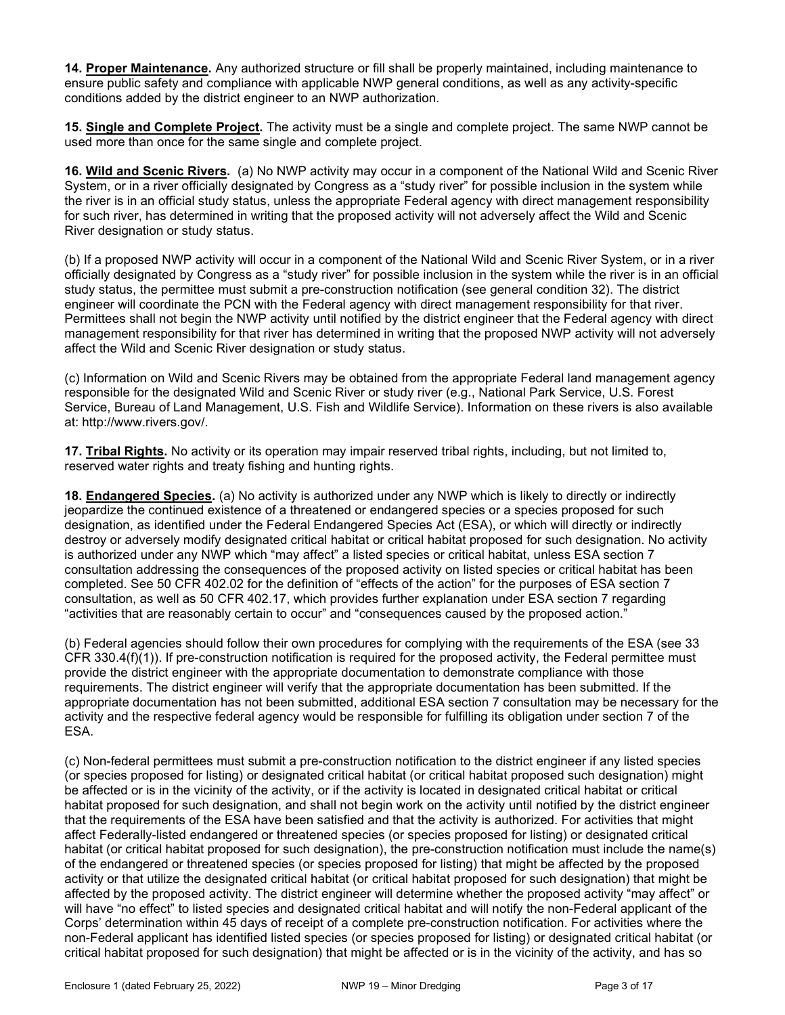14. Proper Maintenance. Any authorized structure or fill shall be properly maintained, including maintenance to ensure public safety and compliance with applicable NWP general conditions, as well as any activity-specific conditions added by the district engineer to an NWP authorization.

15. Single and Complete Project. The activity must be a single and complete project. The same NWP cannot be used more than once for the same single and complete project.

16. Wild and Scenic Rivers. (a) No NWP activity may occur in a component of the National Wild and Scenic River System, or in a river officially designated by Congress as a "study river" for possible inclusion in the system while the river is in an official study status, unless the appropriate Federal agency with direct management responsibility for such river, has determined in writing that the proposed activity will not adversely affect the Wild and Scenic River designation or study status.

(b) If a proposed NWP activity will occur in a component of the National Wild and Scenic River System, or in a river officially designated by Congress as a "study river" for possible inclusion in the system while the river is in an official study status, the permittee must submit a pre-construction notification (see general condition 32). The district engineer will coordinate the PCN with the Federal agency with direct management responsibility for that river. Permittees shall not begin the NWP activity until notified by the district engineer that the Federal agency with direct management responsibility for that river has determined in writing that the proposed NWP activity will not adversely affect the Wild and Scenic River designation or study status.

(c) Information on Wild and Scenic Rivers may be obtained from the appropriate Federal land management agency responsible for the designated Wild and Scenic River or study river (e.g., National Park Service, U.S. Forest Service, Bureau of Land Management, U.S. Fish and Wildlife Service). Information on these rivers is also available at: http://www.rivers.gov/.

17. Tribal Rights. No activity or its operation may impair reserved tribal rights, including, but not limited to, reserved water rights and treaty fishing and hunting rights.

18. Endangered Species. (a) No activity is authorized under any NWP which is likely to directly or indirectly jeopardize the continued existence of a threatened or endangered species or a species proposed for such designation, as identified under the Federal Endangered Species Act (ESA), or which will directly or indirectly destroy or adversely modify designated critical habitat or critical habitat proposed for such designation. No activity is authorized under any NWP which "may affect" a listed species or critical habitat, unless ESA section 7 consultation addressing the consequences of the proposed activity on listed species or critical habitat has been completed. See 50 CFR 402.02 for the definition of "effects of the action" for the purposes of ESA section 7 consultation, as well as 50 CFR 402.17, which provides further explanation under ESA section 7 regarding "activities that are reasonably certain to occur" and "consequences caused by the proposed action."

(b) Federal agencies should follow their own procedures for complying with the requirements of the ESA (see 33 CFR 330.4(f)(1)). If pre-construction notification is required for the proposed activity, the Federal permittee must provide the district engineer with the appropriate documentation to demonstrate compliance with those requirements. The district engineer will verify that the appropriate documentation has been submitted. If the appropriate documentation has not been submitted, additional ESA section 7 consultation may be necessary for the activity and the respective federal agency would be responsible for fulfilling its obligation under section 7 of the ESA.

(c) Non-federal permittees must submit a pre-construction notification to the district engineer if any listed species (or species proposed for listing) or designated critical habitat (or critical habitat proposed such designation) might be affected or is in the vicinity of the activity, or if the activity is located in designated critical habitat or critical habitat proposed for such designation, and shall not begin work on the activity until notified by the district engineer that the requirements of the ESA have been satisfied and that the activity is authorized. For activities that might affect Federally-listed endangered or threatened species (or species proposed for listing) or designated critical habitat (or critical habitat proposed for such designation), the pre-construction notification must include the name(s) of the endangered or threatened species (or species proposed for listing) that might be affected by the proposed activity or that utilize the designated critical habitat (or critical habitat proposed for such designation) that might be affected by the proposed activity. The district engineer will determine whether the proposed activity "may affect" or will have "no effect" to listed species and designated critical habitat and will notify the non-Federal applicant of the Corps' determination within 45 days of receipt of a complete pre-construction notification. For activities where the non-Federal applicant has identified listed species (or species proposed for listing) or designated critical habitat (or critical habitat proposed for such designation) that might be affected or is in the vicinity of the activity, and has so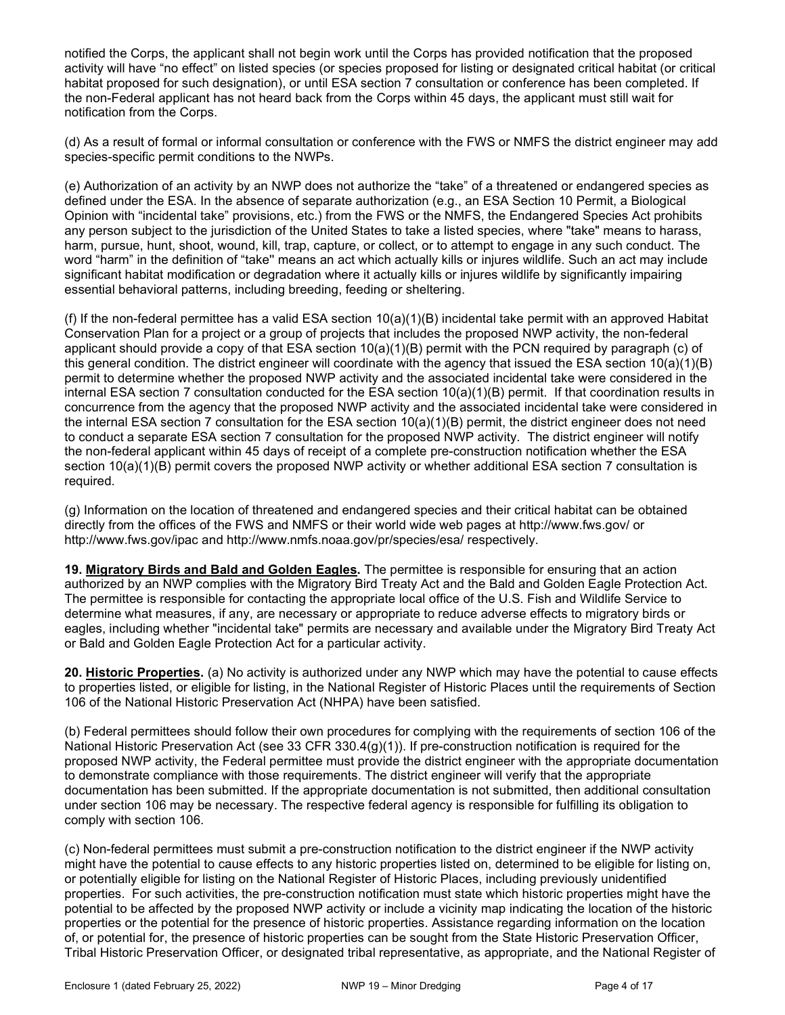notified the Corps, the applicant shall not begin work until the Corps has provided notification that the proposed activity will have "no effect" on listed species (or species proposed for listing or designated critical habitat (or critical habitat proposed for such designation), or until ESA section 7 consultation or conference has been completed. If the non-Federal applicant has not heard back from the Corps within 45 days, the applicant must still wait for notification from the Corps.

(d) As a result of formal or informal consultation or conference with the FWS or NMFS the district engineer may add species-specific permit conditions to the NWPs.

(e) Authorization of an activity by an NWP does not authorize the "take" of a threatened or endangered species as defined under the ESA. In the absence of separate authorization (e.g., an ESA Section 10 Permit, a Biological Opinion with "incidental take" provisions, etc.) from the FWS or the NMFS, the Endangered Species Act prohibits any person subject to the jurisdiction of the United States to take a listed species, where "take" means to harass, harm, pursue, hunt, shoot, wound, kill, trap, capture, or collect, or to attempt to engage in any such conduct. The word "harm" in the definition of "take'' means an act which actually kills or injures wildlife. Such an act may include significant habitat modification or degradation where it actually kills or injures wildlife by significantly impairing essential behavioral patterns, including breeding, feeding or sheltering.

(f) If the non-federal permittee has a valid ESA section  $10(a)(1)(B)$  incidental take permit with an approved Habitat Conservation Plan for a project or a group of projects that includes the proposed NWP activity, the non-federal applicant should provide a copy of that ESA section 10(a)(1)(B) permit with the PCN required by paragraph (c) of this general condition. The district engineer will coordinate with the agency that issued the ESA section 10(a)(1)(B) permit to determine whether the proposed NWP activity and the associated incidental take were considered in the internal ESA section 7 consultation conducted for the ESA section 10(a)(1)(B) permit. If that coordination results in concurrence from the agency that the proposed NWP activity and the associated incidental take were considered in the internal ESA section 7 consultation for the ESA section 10(a)(1)(B) permit, the district engineer does not need to conduct a separate ESA section 7 consultation for the proposed NWP activity. The district engineer will notify the non-federal applicant within 45 days of receipt of a complete pre-construction notification whether the ESA section 10(a)(1)(B) permit covers the proposed NWP activity or whether additional ESA section 7 consultation is required.

(g) Information on the location of threatened and endangered species and their critical habitat can be obtained directly from the offices of the FWS and NMFS or their world wide web pages at http://www.fws.gov/ or http://www.fws.gov/ipac and http://www.nmfs.noaa.gov/pr/species/esa/ respectively.

19. Migratory Birds and Bald and Golden Eagles. The permittee is responsible for ensuring that an action authorized by an NWP complies with the Migratory Bird Treaty Act and the Bald and Golden Eagle Protection Act. The permittee is responsible for contacting the appropriate local office of the U.S. Fish and Wildlife Service to determine what measures, if any, are necessary or appropriate to reduce adverse effects to migratory birds or eagles, including whether "incidental take" permits are necessary and available under the Migratory Bird Treaty Act or Bald and Golden Eagle Protection Act for a particular activity.

20. Historic Properties. (a) No activity is authorized under any NWP which may have the potential to cause effects to properties listed, or eligible for listing, in the National Register of Historic Places until the requirements of Section 106 of the National Historic Preservation Act (NHPA) have been satisfied.

(b) Federal permittees should follow their own procedures for complying with the requirements of section 106 of the National Historic Preservation Act (see 33 CFR 330.4(g)(1)). If pre-construction notification is required for the proposed NWP activity, the Federal permittee must provide the district engineer with the appropriate documentation to demonstrate compliance with those requirements. The district engineer will verify that the appropriate documentation has been submitted. If the appropriate documentation is not submitted, then additional consultation under section 106 may be necessary. The respective federal agency is responsible for fulfilling its obligation to comply with section 106.

(c) Non-federal permittees must submit a pre-construction notification to the district engineer if the NWP activity might have the potential to cause effects to any historic properties listed on, determined to be eligible for listing on, or potentially eligible for listing on the National Register of Historic Places, including previously unidentified properties. For such activities, the pre-construction notification must state which historic properties might have the potential to be affected by the proposed NWP activity or include a vicinity map indicating the location of the historic properties or the potential for the presence of historic properties. Assistance regarding information on the location of, or potential for, the presence of historic properties can be sought from the State Historic Preservation Officer, Tribal Historic Preservation Officer, or designated tribal representative, as appropriate, and the National Register of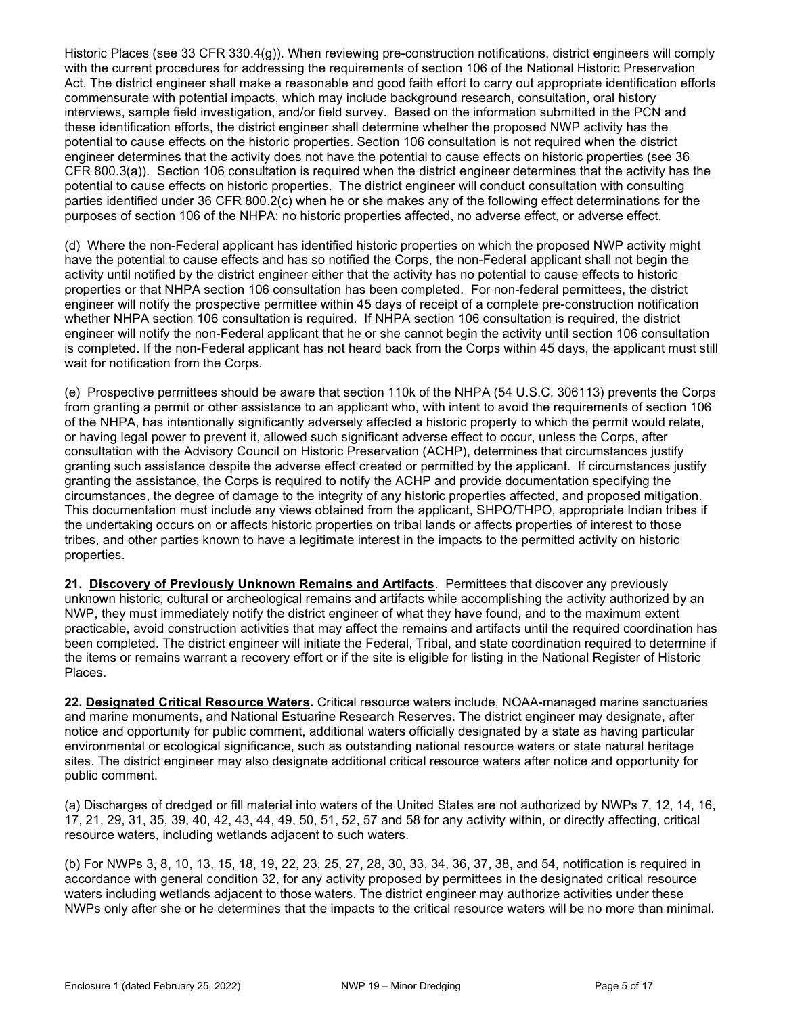Historic Places (see 33 CFR 330.4(g)). When reviewing pre-construction notifications, district engineers will comply with the current procedures for addressing the requirements of section 106 of the National Historic Preservation Act. The district engineer shall make a reasonable and good faith effort to carry out appropriate identification efforts commensurate with potential impacts, which may include background research, consultation, oral history interviews, sample field investigation, and/or field survey. Based on the information submitted in the PCN and these identification efforts, the district engineer shall determine whether the proposed NWP activity has the potential to cause effects on the historic properties. Section 106 consultation is not required when the district engineer determines that the activity does not have the potential to cause effects on historic properties (see 36 CFR 800.3(a)). Section 106 consultation is required when the district engineer determines that the activity has the potential to cause effects on historic properties. The district engineer will conduct consultation with consulting parties identified under 36 CFR 800.2(c) when he or she makes any of the following effect determinations for the purposes of section 106 of the NHPA: no historic properties affected, no adverse effect, or adverse effect.

(d) Where the non-Federal applicant has identified historic properties on which the proposed NWP activity might have the potential to cause effects and has so notified the Corps, the non-Federal applicant shall not begin the activity until notified by the district engineer either that the activity has no potential to cause effects to historic properties or that NHPA section 106 consultation has been completed. For non-federal permittees, the district engineer will notify the prospective permittee within 45 days of receipt of a complete pre-construction notification whether NHPA section 106 consultation is required. If NHPA section 106 consultation is required, the district engineer will notify the non-Federal applicant that he or she cannot begin the activity until section 106 consultation is completed. If the non-Federal applicant has not heard back from the Corps within 45 days, the applicant must still wait for notification from the Corps.

(e) Prospective permittees should be aware that section 110k of the NHPA (54 U.S.C. 306113) prevents the Corps from granting a permit or other assistance to an applicant who, with intent to avoid the requirements of section 106 of the NHPA, has intentionally significantly adversely affected a historic property to which the permit would relate, or having legal power to prevent it, allowed such significant adverse effect to occur, unless the Corps, after consultation with the Advisory Council on Historic Preservation (ACHP), determines that circumstances justify granting such assistance despite the adverse effect created or permitted by the applicant. If circumstances justify granting the assistance, the Corps is required to notify the ACHP and provide documentation specifying the circumstances, the degree of damage to the integrity of any historic properties affected, and proposed mitigation. This documentation must include any views obtained from the applicant, SHPO/THPO, appropriate Indian tribes if the undertaking occurs on or affects historic properties on tribal lands or affects properties of interest to those tribes, and other parties known to have a legitimate interest in the impacts to the permitted activity on historic properties.

21. Discovery of Previously Unknown Remains and Artifacts. Permittees that discover any previously unknown historic, cultural or archeological remains and artifacts while accomplishing the activity authorized by an NWP, they must immediately notify the district engineer of what they have found, and to the maximum extent practicable, avoid construction activities that may affect the remains and artifacts until the required coordination has been completed. The district engineer will initiate the Federal, Tribal, and state coordination required to determine if the items or remains warrant a recovery effort or if the site is eligible for listing in the National Register of Historic Places.

22. Designated Critical Resource Waters. Critical resource waters include, NOAA-managed marine sanctuaries and marine monuments, and National Estuarine Research Reserves. The district engineer may designate, after notice and opportunity for public comment, additional waters officially designated by a state as having particular environmental or ecological significance, such as outstanding national resource waters or state natural heritage sites. The district engineer may also designate additional critical resource waters after notice and opportunity for public comment.

(a) Discharges of dredged or fill material into waters of the United States are not authorized by NWPs 7, 12, 14, 16, 17, 21, 29, 31, 35, 39, 40, 42, 43, 44, 49, 50, 51, 52, 57 and 58 for any activity within, or directly affecting, critical resource waters, including wetlands adjacent to such waters.

(b) For NWPs 3, 8, 10, 13, 15, 18, 19, 22, 23, 25, 27, 28, 30, 33, 34, 36, 37, 38, and 54, notification is required in accordance with general condition 32, for any activity proposed by permittees in the designated critical resource waters including wetlands adjacent to those waters. The district engineer may authorize activities under these NWPs only after she or he determines that the impacts to the critical resource waters will be no more than minimal.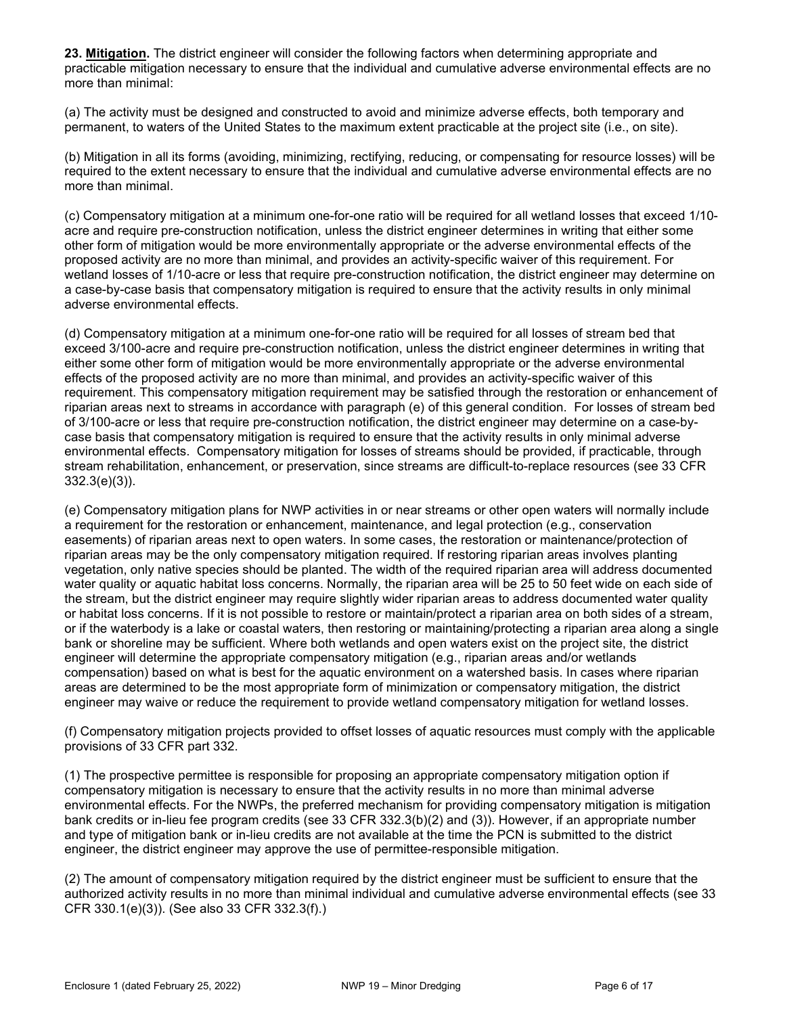23. Mitigation. The district engineer will consider the following factors when determining appropriate and practicable mitigation necessary to ensure that the individual and cumulative adverse environmental effects are no more than minimal:

(a) The activity must be designed and constructed to avoid and minimize adverse effects, both temporary and permanent, to waters of the United States to the maximum extent practicable at the project site (i.e., on site).

(b) Mitigation in all its forms (avoiding, minimizing, rectifying, reducing, or compensating for resource losses) will be required to the extent necessary to ensure that the individual and cumulative adverse environmental effects are no more than minimal.

(c) Compensatory mitigation at a minimum one-for-one ratio will be required for all wetland losses that exceed 1/10 acre and require pre-construction notification, unless the district engineer determines in writing that either some other form of mitigation would be more environmentally appropriate or the adverse environmental effects of the proposed activity are no more than minimal, and provides an activity-specific waiver of this requirement. For wetland losses of 1/10-acre or less that require pre-construction notification, the district engineer may determine on a case-by-case basis that compensatory mitigation is required to ensure that the activity results in only minimal adverse environmental effects.

(d) Compensatory mitigation at a minimum one-for-one ratio will be required for all losses of stream bed that exceed 3/100-acre and require pre-construction notification, unless the district engineer determines in writing that either some other form of mitigation would be more environmentally appropriate or the adverse environmental effects of the proposed activity are no more than minimal, and provides an activity-specific waiver of this requirement. This compensatory mitigation requirement may be satisfied through the restoration or enhancement of riparian areas next to streams in accordance with paragraph (e) of this general condition. For losses of stream bed of 3/100-acre or less that require pre-construction notification, the district engineer may determine on a case-bycase basis that compensatory mitigation is required to ensure that the activity results in only minimal adverse environmental effects. Compensatory mitigation for losses of streams should be provided, if practicable, through stream rehabilitation, enhancement, or preservation, since streams are difficult-to-replace resources (see 33 CFR 332.3(e)(3)).

(e) Compensatory mitigation plans for NWP activities in or near streams or other open waters will normally include a requirement for the restoration or enhancement, maintenance, and legal protection (e.g., conservation easements) of riparian areas next to open waters. In some cases, the restoration or maintenance/protection of riparian areas may be the only compensatory mitigation required. If restoring riparian areas involves planting vegetation, only native species should be planted. The width of the required riparian area will address documented water quality or aquatic habitat loss concerns. Normally, the riparian area will be 25 to 50 feet wide on each side of the stream, but the district engineer may require slightly wider riparian areas to address documented water quality or habitat loss concerns. If it is not possible to restore or maintain/protect a riparian area on both sides of a stream, or if the waterbody is a lake or coastal waters, then restoring or maintaining/protecting a riparian area along a single bank or shoreline may be sufficient. Where both wetlands and open waters exist on the project site, the district engineer will determine the appropriate compensatory mitigation (e.g., riparian areas and/or wetlands compensation) based on what is best for the aquatic environment on a watershed basis. In cases where riparian areas are determined to be the most appropriate form of minimization or compensatory mitigation, the district engineer may waive or reduce the requirement to provide wetland compensatory mitigation for wetland losses.

(f) Compensatory mitigation projects provided to offset losses of aquatic resources must comply with the applicable provisions of 33 CFR part 332.

(1) The prospective permittee is responsible for proposing an appropriate compensatory mitigation option if compensatory mitigation is necessary to ensure that the activity results in no more than minimal adverse environmental effects. For the NWPs, the preferred mechanism for providing compensatory mitigation is mitigation bank credits or in-lieu fee program credits (see 33 CFR 332.3(b)(2) and (3)). However, if an appropriate number and type of mitigation bank or in-lieu credits are not available at the time the PCN is submitted to the district engineer, the district engineer may approve the use of permittee-responsible mitigation.

(2) The amount of compensatory mitigation required by the district engineer must be sufficient to ensure that the authorized activity results in no more than minimal individual and cumulative adverse environmental effects (see 33 CFR 330.1(e)(3)). (See also 33 CFR 332.3(f).)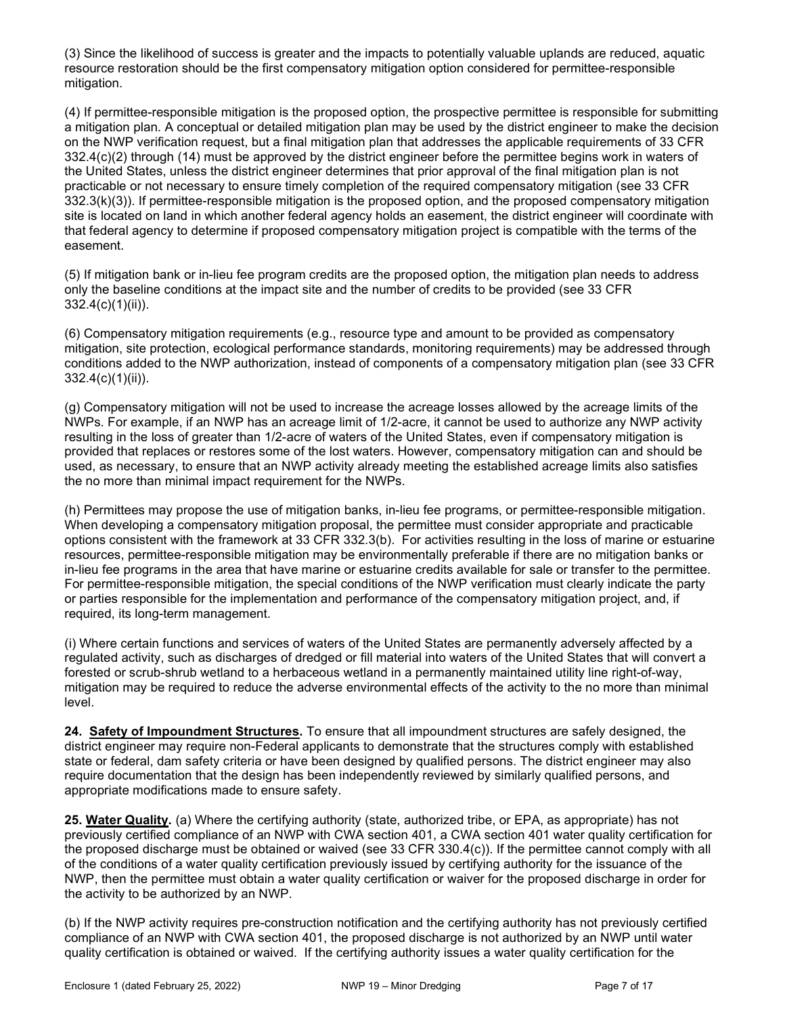(3) Since the likelihood of success is greater and the impacts to potentially valuable uplands are reduced, aquatic resource restoration should be the first compensatory mitigation option considered for permittee-responsible mitigation.

(4) If permittee-responsible mitigation is the proposed option, the prospective permittee is responsible for submitting a mitigation plan. A conceptual or detailed mitigation plan may be used by the district engineer to make the decision on the NWP verification request, but a final mitigation plan that addresses the applicable requirements of 33 CFR 332.4(c)(2) through (14) must be approved by the district engineer before the permittee begins work in waters of the United States, unless the district engineer determines that prior approval of the final mitigation plan is not practicable or not necessary to ensure timely completion of the required compensatory mitigation (see 33 CFR 332.3(k)(3)). If permittee-responsible mitigation is the proposed option, and the proposed compensatory mitigation site is located on land in which another federal agency holds an easement, the district engineer will coordinate with that federal agency to determine if proposed compensatory mitigation project is compatible with the terms of the easement.

(5) If mitigation bank or in-lieu fee program credits are the proposed option, the mitigation plan needs to address only the baseline conditions at the impact site and the number of credits to be provided (see 33 CFR 332.4(c)(1)(ii)).

(6) Compensatory mitigation requirements (e.g., resource type and amount to be provided as compensatory mitigation, site protection, ecological performance standards, monitoring requirements) may be addressed through conditions added to the NWP authorization, instead of components of a compensatory mitigation plan (see 33 CFR 332.4(c)(1)(ii)).

(g) Compensatory mitigation will not be used to increase the acreage losses allowed by the acreage limits of the NWPs. For example, if an NWP has an acreage limit of 1/2-acre, it cannot be used to authorize any NWP activity resulting in the loss of greater than 1/2-acre of waters of the United States, even if compensatory mitigation is provided that replaces or restores some of the lost waters. However, compensatory mitigation can and should be used, as necessary, to ensure that an NWP activity already meeting the established acreage limits also satisfies the no more than minimal impact requirement for the NWPs.

(h) Permittees may propose the use of mitigation banks, in-lieu fee programs, or permittee-responsible mitigation. When developing a compensatory mitigation proposal, the permittee must consider appropriate and practicable options consistent with the framework at 33 CFR 332.3(b). For activities resulting in the loss of marine or estuarine resources, permittee-responsible mitigation may be environmentally preferable if there are no mitigation banks or in-lieu fee programs in the area that have marine or estuarine credits available for sale or transfer to the permittee. For permittee-responsible mitigation, the special conditions of the NWP verification must clearly indicate the party or parties responsible for the implementation and performance of the compensatory mitigation project, and, if required, its long-term management.

(i) Where certain functions and services of waters of the United States are permanently adversely affected by a regulated activity, such as discharges of dredged or fill material into waters of the United States that will convert a forested or scrub-shrub wetland to a herbaceous wetland in a permanently maintained utility line right-of-way, mitigation may be required to reduce the adverse environmental effects of the activity to the no more than minimal level.

24. Safety of Impoundment Structures. To ensure that all impoundment structures are safely designed, the district engineer may require non-Federal applicants to demonstrate that the structures comply with established state or federal, dam safety criteria or have been designed by qualified persons. The district engineer may also require documentation that the design has been independently reviewed by similarly qualified persons, and appropriate modifications made to ensure safety.

25. Water Quality. (a) Where the certifying authority (state, authorized tribe, or EPA, as appropriate) has not previously certified compliance of an NWP with CWA section 401, a CWA section 401 water quality certification for the proposed discharge must be obtained or waived (see 33 CFR 330.4(c)). If the permittee cannot comply with all of the conditions of a water quality certification previously issued by certifying authority for the issuance of the NWP, then the permittee must obtain a water quality certification or waiver for the proposed discharge in order for the activity to be authorized by an NWP.

(b) If the NWP activity requires pre-construction notification and the certifying authority has not previously certified compliance of an NWP with CWA section 401, the proposed discharge is not authorized by an NWP until water quality certification is obtained or waived. If the certifying authority issues a water quality certification for the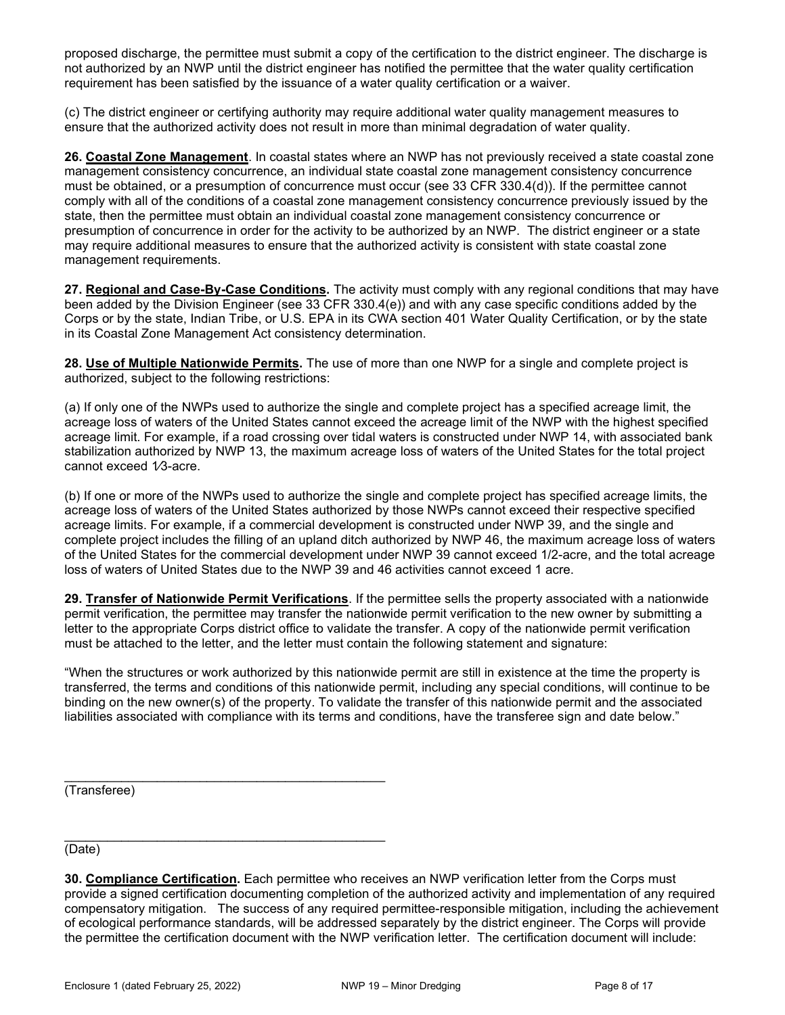proposed discharge, the permittee must submit a copy of the certification to the district engineer. The discharge is not authorized by an NWP until the district engineer has notified the permittee that the water quality certification requirement has been satisfied by the issuance of a water quality certification or a waiver.

(c) The district engineer or certifying authority may require additional water quality management measures to ensure that the authorized activity does not result in more than minimal degradation of water quality.

26. Coastal Zone Management. In coastal states where an NWP has not previously received a state coastal zone management consistency concurrence, an individual state coastal zone management consistency concurrence must be obtained, or a presumption of concurrence must occur (see 33 CFR 330.4(d)). If the permittee cannot comply with all of the conditions of a coastal zone management consistency concurrence previously issued by the state, then the permittee must obtain an individual coastal zone management consistency concurrence or presumption of concurrence in order for the activity to be authorized by an NWP. The district engineer or a state may require additional measures to ensure that the authorized activity is consistent with state coastal zone management requirements.

27. Regional and Case-By-Case Conditions. The activity must comply with any regional conditions that may have been added by the Division Engineer (see 33 CFR 330.4(e)) and with any case specific conditions added by the Corps or by the state, Indian Tribe, or U.S. EPA in its CWA section 401 Water Quality Certification, or by the state in its Coastal Zone Management Act consistency determination.

28. Use of Multiple Nationwide Permits. The use of more than one NWP for a single and complete project is authorized, subject to the following restrictions:

(a) If only one of the NWPs used to authorize the single and complete project has a specified acreage limit, the acreage loss of waters of the United States cannot exceed the acreage limit of the NWP with the highest specified acreage limit. For example, if a road crossing over tidal waters is constructed under NWP 14, with associated bank stabilization authorized by NWP 13, the maximum acreage loss of waters of the United States for the total project cannot exceed 1/3-acre.

(b) If one or more of the NWPs used to authorize the single and complete project has specified acreage limits, the acreage loss of waters of the United States authorized by those NWPs cannot exceed their respective specified acreage limits. For example, if a commercial development is constructed under NWP 39, and the single and complete project includes the filling of an upland ditch authorized by NWP 46, the maximum acreage loss of waters of the United States for the commercial development under NWP 39 cannot exceed 1/2-acre, and the total acreage loss of waters of United States due to the NWP 39 and 46 activities cannot exceed 1 acre.

29. Transfer of Nationwide Permit Verifications. If the permittee sells the property associated with a nationwide permit verification, the permittee may transfer the nationwide permit verification to the new owner by submitting a letter to the appropriate Corps district office to validate the transfer. A copy of the nationwide permit verification must be attached to the letter, and the letter must contain the following statement and signature:

"When the structures or work authorized by this nationwide permit are still in existence at the time the property is transferred, the terms and conditions of this nationwide permit, including any special conditions, will continue to be binding on the new owner(s) of the property. To validate the transfer of this nationwide permit and the associated liabilities associated with compliance with its terms and conditions, have the transferee sign and date below."

(Transferee)

\_\_\_\_\_\_\_\_\_\_\_\_\_\_\_\_\_\_\_\_\_\_\_\_\_\_\_\_\_\_\_\_\_\_\_\_\_\_\_\_\_\_\_\_\_ (Date)

<sup>30.</sup> Compliance Certification. Each permittee who receives an NWP verification letter from the Corps must provide a signed certification documenting completion of the authorized activity and implementation of any required compensatory mitigation. The success of any required permittee-responsible mitigation, including the achievement of ecological performance standards, will be addressed separately by the district engineer. The Corps will provide the permittee the certification document with the NWP verification letter. The certification document will include: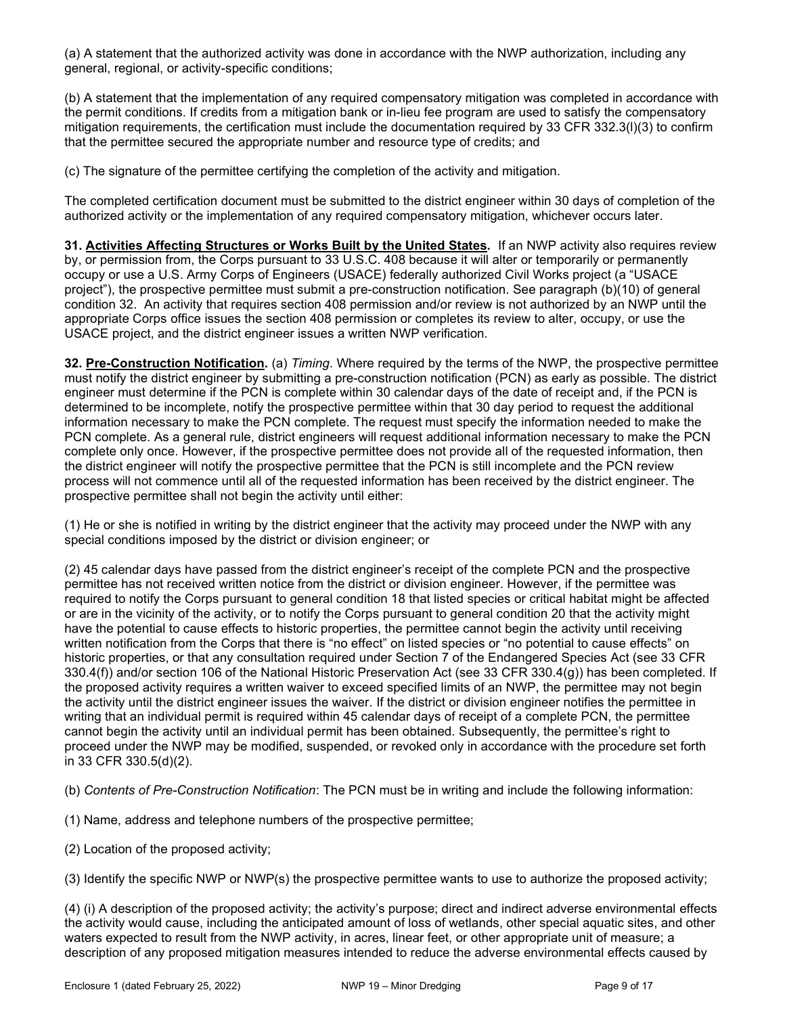(a) A statement that the authorized activity was done in accordance with the NWP authorization, including any general, regional, or activity-specific conditions;

(b) A statement that the implementation of any required compensatory mitigation was completed in accordance with the permit conditions. If credits from a mitigation bank or in-lieu fee program are used to satisfy the compensatory mitigation requirements, the certification must include the documentation required by 33 CFR 332.3(l)(3) to confirm that the permittee secured the appropriate number and resource type of credits; and

(c) The signature of the permittee certifying the completion of the activity and mitigation.

The completed certification document must be submitted to the district engineer within 30 days of completion of the authorized activity or the implementation of any required compensatory mitigation, whichever occurs later.

31. Activities Affecting Structures or Works Built by the United States. If an NWP activity also requires review by, or permission from, the Corps pursuant to 33 U.S.C. 408 because it will alter or temporarily or permanently occupy or use a U.S. Army Corps of Engineers (USACE) federally authorized Civil Works project (a "USACE project"), the prospective permittee must submit a pre-construction notification. See paragraph (b)(10) of general condition 32. An activity that requires section 408 permission and/or review is not authorized by an NWP until the appropriate Corps office issues the section 408 permission or completes its review to alter, occupy, or use the USACE project, and the district engineer issues a written NWP verification.

32. Pre-Construction Notification. (a) Timing. Where required by the terms of the NWP, the prospective permittee must notify the district engineer by submitting a pre-construction notification (PCN) as early as possible. The district engineer must determine if the PCN is complete within 30 calendar days of the date of receipt and, if the PCN is determined to be incomplete, notify the prospective permittee within that 30 day period to request the additional information necessary to make the PCN complete. The request must specify the information needed to make the PCN complete. As a general rule, district engineers will request additional information necessary to make the PCN complete only once. However, if the prospective permittee does not provide all of the requested information, then the district engineer will notify the prospective permittee that the PCN is still incomplete and the PCN review process will not commence until all of the requested information has been received by the district engineer. The prospective permittee shall not begin the activity until either:

(1) He or she is notified in writing by the district engineer that the activity may proceed under the NWP with any special conditions imposed by the district or division engineer; or

(2) 45 calendar days have passed from the district engineer's receipt of the complete PCN and the prospective permittee has not received written notice from the district or division engineer. However, if the permittee was required to notify the Corps pursuant to general condition 18 that listed species or critical habitat might be affected or are in the vicinity of the activity, or to notify the Corps pursuant to general condition 20 that the activity might have the potential to cause effects to historic properties, the permittee cannot begin the activity until receiving written notification from the Corps that there is "no effect" on listed species or "no potential to cause effects" on historic properties, or that any consultation required under Section 7 of the Endangered Species Act (see 33 CFR 330.4(f)) and/or section 106 of the National Historic Preservation Act (see 33 CFR 330.4(g)) has been completed. If the proposed activity requires a written waiver to exceed specified limits of an NWP, the permittee may not begin the activity until the district engineer issues the waiver. If the district or division engineer notifies the permittee in writing that an individual permit is required within 45 calendar days of receipt of a complete PCN, the permittee cannot begin the activity until an individual permit has been obtained. Subsequently, the permittee's right to proceed under the NWP may be modified, suspended, or revoked only in accordance with the procedure set forth in 33 CFR 330.5(d)(2).

(b) Contents of Pre-Construction Notification: The PCN must be in writing and include the following information:

(1) Name, address and telephone numbers of the prospective permittee;

(2) Location of the proposed activity;

(3) Identify the specific NWP or NWP(s) the prospective permittee wants to use to authorize the proposed activity;

(4) (i) A description of the proposed activity; the activity's purpose; direct and indirect adverse environmental effects the activity would cause, including the anticipated amount of loss of wetlands, other special aquatic sites, and other waters expected to result from the NWP activity, in acres, linear feet, or other appropriate unit of measure; a description of any proposed mitigation measures intended to reduce the adverse environmental effects caused by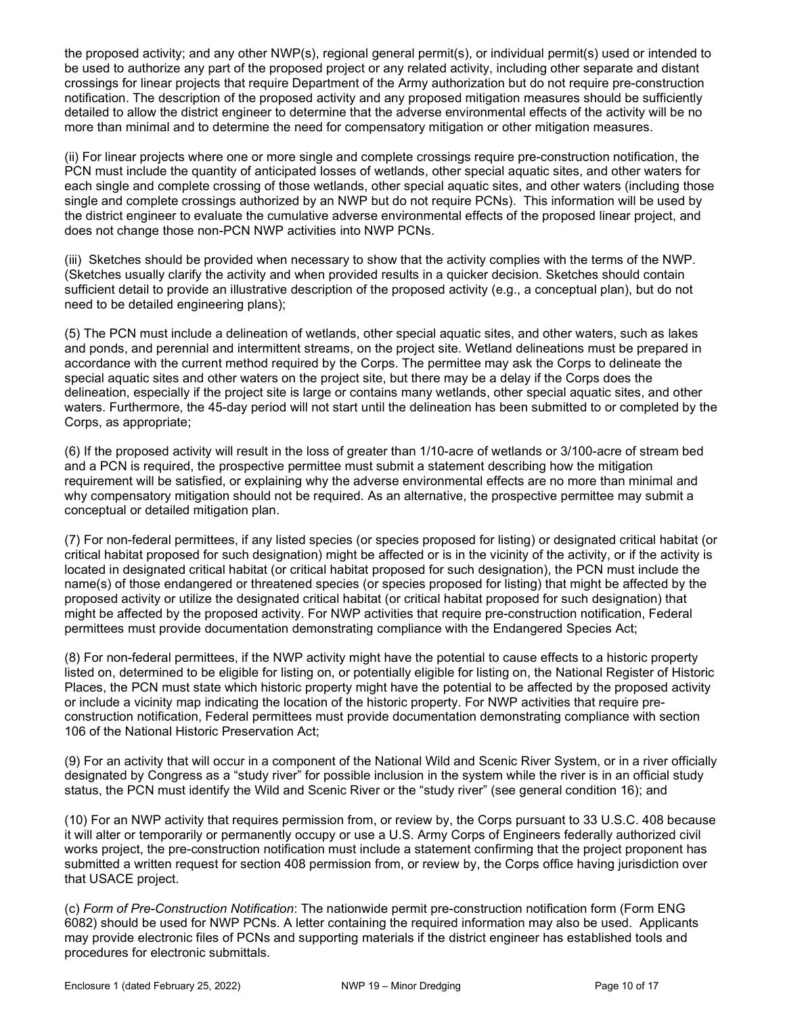the proposed activity; and any other NWP(s), regional general permit(s), or individual permit(s) used or intended to be used to authorize any part of the proposed project or any related activity, including other separate and distant crossings for linear projects that require Department of the Army authorization but do not require pre-construction notification. The description of the proposed activity and any proposed mitigation measures should be sufficiently detailed to allow the district engineer to determine that the adverse environmental effects of the activity will be no more than minimal and to determine the need for compensatory mitigation or other mitigation measures.

(ii) For linear projects where one or more single and complete crossings require pre-construction notification, the PCN must include the quantity of anticipated losses of wetlands, other special aquatic sites, and other waters for each single and complete crossing of those wetlands, other special aquatic sites, and other waters (including those single and complete crossings authorized by an NWP but do not require PCNs). This information will be used by the district engineer to evaluate the cumulative adverse environmental effects of the proposed linear project, and does not change those non-PCN NWP activities into NWP PCNs.

(iii) Sketches should be provided when necessary to show that the activity complies with the terms of the NWP. (Sketches usually clarify the activity and when provided results in a quicker decision. Sketches should contain sufficient detail to provide an illustrative description of the proposed activity (e.g., a conceptual plan), but do not need to be detailed engineering plans);

(5) The PCN must include a delineation of wetlands, other special aquatic sites, and other waters, such as lakes and ponds, and perennial and intermittent streams, on the project site. Wetland delineations must be prepared in accordance with the current method required by the Corps. The permittee may ask the Corps to delineate the special aquatic sites and other waters on the project site, but there may be a delay if the Corps does the delineation, especially if the project site is large or contains many wetlands, other special aquatic sites, and other waters. Furthermore, the 45-day period will not start until the delineation has been submitted to or completed by the Corps, as appropriate;

(6) If the proposed activity will result in the loss of greater than 1/10-acre of wetlands or 3/100-acre of stream bed and a PCN is required, the prospective permittee must submit a statement describing how the mitigation requirement will be satisfied, or explaining why the adverse environmental effects are no more than minimal and why compensatory mitigation should not be required. As an alternative, the prospective permittee may submit a conceptual or detailed mitigation plan.

(7) For non-federal permittees, if any listed species (or species proposed for listing) or designated critical habitat (or critical habitat proposed for such designation) might be affected or is in the vicinity of the activity, or if the activity is located in designated critical habitat (or critical habitat proposed for such designation), the PCN must include the name(s) of those endangered or threatened species (or species proposed for listing) that might be affected by the proposed activity or utilize the designated critical habitat (or critical habitat proposed for such designation) that might be affected by the proposed activity. For NWP activities that require pre-construction notification, Federal permittees must provide documentation demonstrating compliance with the Endangered Species Act;

(8) For non-federal permittees, if the NWP activity might have the potential to cause effects to a historic property listed on, determined to be eligible for listing on, or potentially eligible for listing on, the National Register of Historic Places, the PCN must state which historic property might have the potential to be affected by the proposed activity or include a vicinity map indicating the location of the historic property. For NWP activities that require preconstruction notification, Federal permittees must provide documentation demonstrating compliance with section 106 of the National Historic Preservation Act;

(9) For an activity that will occur in a component of the National Wild and Scenic River System, or in a river officially designated by Congress as a "study river" for possible inclusion in the system while the river is in an official study status, the PCN must identify the Wild and Scenic River or the "study river" (see general condition 16); and

(10) For an NWP activity that requires permission from, or review by, the Corps pursuant to 33 U.S.C. 408 because it will alter or temporarily or permanently occupy or use a U.S. Army Corps of Engineers federally authorized civil works project, the pre-construction notification must include a statement confirming that the project proponent has submitted a written request for section 408 permission from, or review by, the Corps office having jurisdiction over that USACE project.

(c) Form of Pre-Construction Notification: The nationwide permit pre-construction notification form (Form ENG 6082) should be used for NWP PCNs. A letter containing the required information may also be used. Applicants may provide electronic files of PCNs and supporting materials if the district engineer has established tools and procedures for electronic submittals.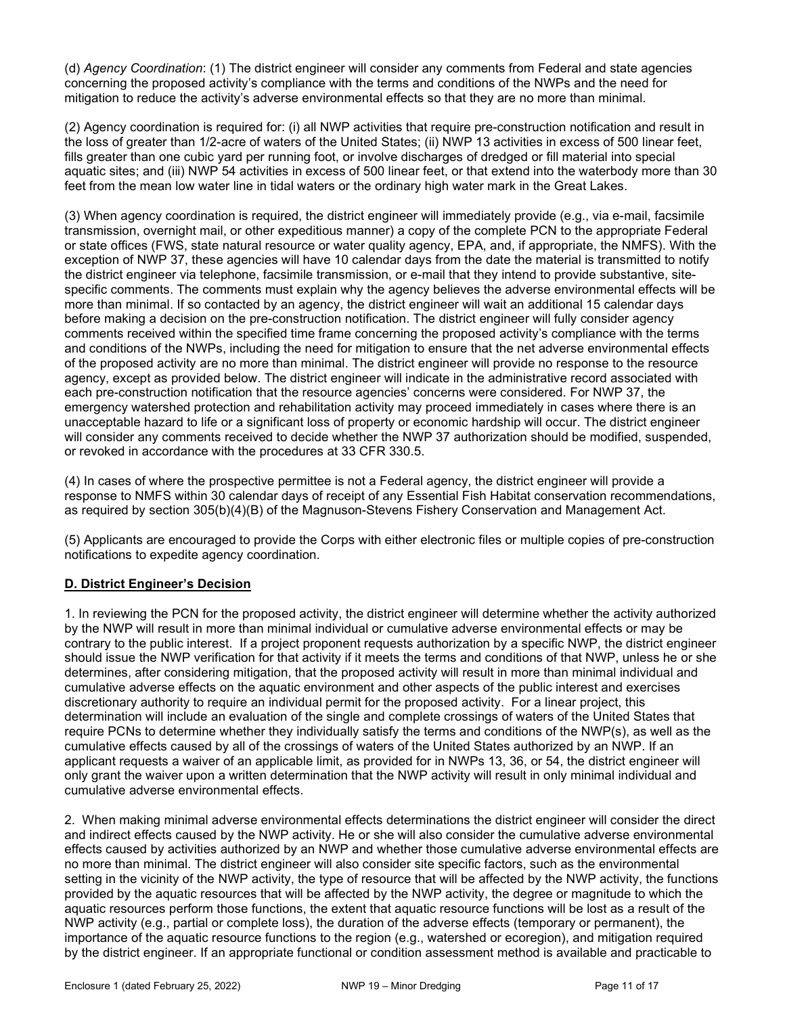(d) Agency Coordination: (1) The district engineer will consider any comments from Federal and state agencies concerning the proposed activity's compliance with the terms and conditions of the NWPs and the need for mitigation to reduce the activity's adverse environmental effects so that they are no more than minimal.

(2) Agency coordination is required for: (i) all NWP activities that require pre-construction notification and result in the loss of greater than 1/2-acre of waters of the United States; (ii) NWP 13 activities in excess of 500 linear feet, fills greater than one cubic yard per running foot, or involve discharges of dredged or fill material into special aquatic sites; and (iii) NWP 54 activities in excess of 500 linear feet, or that extend into the waterbody more than 30 feet from the mean low water line in tidal waters or the ordinary high water mark in the Great Lakes.

(3) When agency coordination is required, the district engineer will immediately provide (e.g., via e-mail, facsimile transmission, overnight mail, or other expeditious manner) a copy of the complete PCN to the appropriate Federal or state offices (FWS, state natural resource or water quality agency, EPA, and, if appropriate, the NMFS). With the exception of NWP 37, these agencies will have 10 calendar days from the date the material is transmitted to notify the district engineer via telephone, facsimile transmission, or e-mail that they intend to provide substantive, sitespecific comments. The comments must explain why the agency believes the adverse environmental effects will be more than minimal. If so contacted by an agency, the district engineer will wait an additional 15 calendar days before making a decision on the pre-construction notification. The district engineer will fully consider agency comments received within the specified time frame concerning the proposed activity's compliance with the terms and conditions of the NWPs, including the need for mitigation to ensure that the net adverse environmental effects of the proposed activity are no more than minimal. The district engineer will provide no response to the resource agency, except as provided below. The district engineer will indicate in the administrative record associated with each pre-construction notification that the resource agencies' concerns were considered. For NWP 37, the emergency watershed protection and rehabilitation activity may proceed immediately in cases where there is an unacceptable hazard to life or a significant loss of property or economic hardship will occur. The district engineer will consider any comments received to decide whether the NWP 37 authorization should be modified, suspended, or revoked in accordance with the procedures at 33 CFR 330.5.

(4) In cases of where the prospective permittee is not a Federal agency, the district engineer will provide a response to NMFS within 30 calendar days of receipt of any Essential Fish Habitat conservation recommendations, as required by section 305(b)(4)(B) of the Magnuson-Stevens Fishery Conservation and Management Act.

(5) Applicants are encouraged to provide the Corps with either electronic files or multiple copies of pre-construction notifications to expedite agency coordination.

# D. District Engineer's Decision

1. In reviewing the PCN for the proposed activity, the district engineer will determine whether the activity authorized by the NWP will result in more than minimal individual or cumulative adverse environmental effects or may be contrary to the public interest. If a project proponent requests authorization by a specific NWP, the district engineer should issue the NWP verification for that activity if it meets the terms and conditions of that NWP, unless he or she determines, after considering mitigation, that the proposed activity will result in more than minimal individual and cumulative adverse effects on the aquatic environment and other aspects of the public interest and exercises discretionary authority to require an individual permit for the proposed activity. For a linear project, this determination will include an evaluation of the single and complete crossings of waters of the United States that require PCNs to determine whether they individually satisfy the terms and conditions of the NWP(s), as well as the cumulative effects caused by all of the crossings of waters of the United States authorized by an NWP. If an applicant requests a waiver of an applicable limit, as provided for in NWPs 13, 36, or 54, the district engineer will only grant the waiver upon a written determination that the NWP activity will result in only minimal individual and cumulative adverse environmental effects.

2. When making minimal adverse environmental effects determinations the district engineer will consider the direct and indirect effects caused by the NWP activity. He or she will also consider the cumulative adverse environmental effects caused by activities authorized by an NWP and whether those cumulative adverse environmental effects are no more than minimal. The district engineer will also consider site specific factors, such as the environmental setting in the vicinity of the NWP activity, the type of resource that will be affected by the NWP activity, the functions provided by the aquatic resources that will be affected by the NWP activity, the degree or magnitude to which the aquatic resources perform those functions, the extent that aquatic resource functions will be lost as a result of the NWP activity (e.g., partial or complete loss), the duration of the adverse effects (temporary or permanent), the importance of the aquatic resource functions to the region (e.g., watershed or ecoregion), and mitigation required by the district engineer. If an appropriate functional or condition assessment method is available and practicable to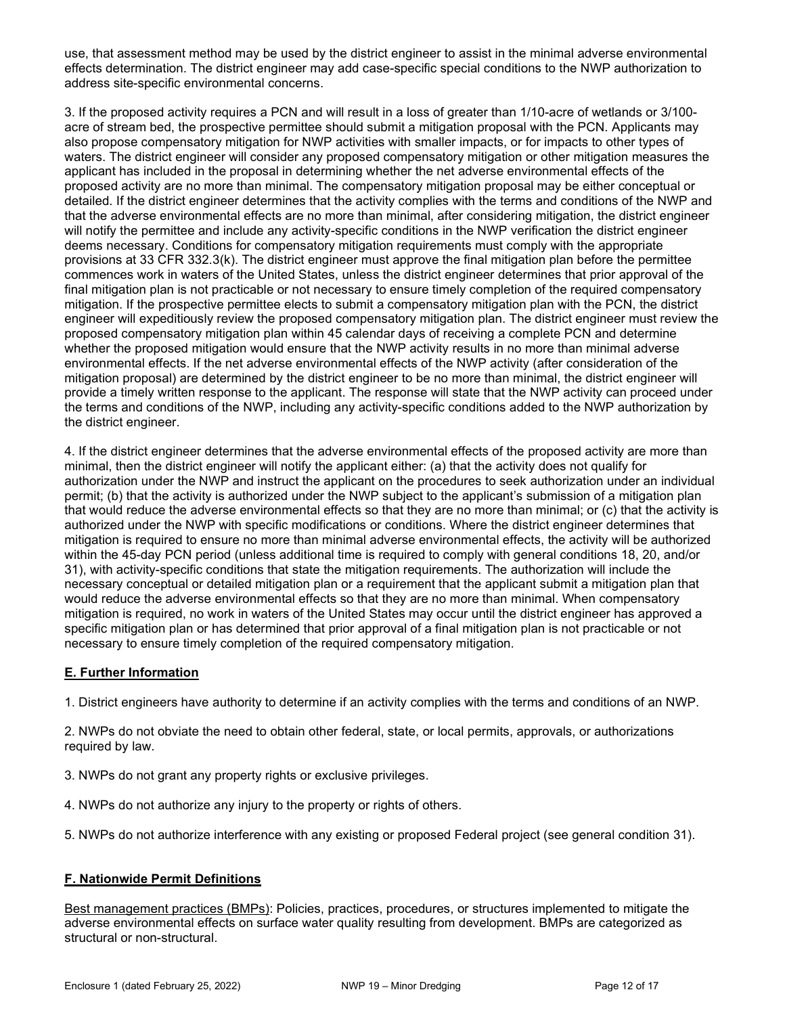use, that assessment method may be used by the district engineer to assist in the minimal adverse environmental effects determination. The district engineer may add case-specific special conditions to the NWP authorization to address site-specific environmental concerns.

3. If the proposed activity requires a PCN and will result in a loss of greater than 1/10-acre of wetlands or 3/100 acre of stream bed, the prospective permittee should submit a mitigation proposal with the PCN. Applicants may also propose compensatory mitigation for NWP activities with smaller impacts, or for impacts to other types of waters. The district engineer will consider any proposed compensatory mitigation or other mitigation measures the applicant has included in the proposal in determining whether the net adverse environmental effects of the proposed activity are no more than minimal. The compensatory mitigation proposal may be either conceptual or detailed. If the district engineer determines that the activity complies with the terms and conditions of the NWP and that the adverse environmental effects are no more than minimal, after considering mitigation, the district engineer will notify the permittee and include any activity-specific conditions in the NWP verification the district engineer deems necessary. Conditions for compensatory mitigation requirements must comply with the appropriate provisions at 33 CFR 332.3(k). The district engineer must approve the final mitigation plan before the permittee commences work in waters of the United States, unless the district engineer determines that prior approval of the final mitigation plan is not practicable or not necessary to ensure timely completion of the required compensatory mitigation. If the prospective permittee elects to submit a compensatory mitigation plan with the PCN, the district engineer will expeditiously review the proposed compensatory mitigation plan. The district engineer must review the proposed compensatory mitigation plan within 45 calendar days of receiving a complete PCN and determine whether the proposed mitigation would ensure that the NWP activity results in no more than minimal adverse environmental effects. If the net adverse environmental effects of the NWP activity (after consideration of the mitigation proposal) are determined by the district engineer to be no more than minimal, the district engineer will provide a timely written response to the applicant. The response will state that the NWP activity can proceed under the terms and conditions of the NWP, including any activity-specific conditions added to the NWP authorization by the district engineer.

4. If the district engineer determines that the adverse environmental effects of the proposed activity are more than minimal, then the district engineer will notify the applicant either: (a) that the activity does not qualify for authorization under the NWP and instruct the applicant on the procedures to seek authorization under an individual permit; (b) that the activity is authorized under the NWP subject to the applicant's submission of a mitigation plan that would reduce the adverse environmental effects so that they are no more than minimal; or (c) that the activity is authorized under the NWP with specific modifications or conditions. Where the district engineer determines that mitigation is required to ensure no more than minimal adverse environmental effects, the activity will be authorized within the 45-day PCN period (unless additional time is required to comply with general conditions 18, 20, and/or 31), with activity-specific conditions that state the mitigation requirements. The authorization will include the necessary conceptual or detailed mitigation plan or a requirement that the applicant submit a mitigation plan that would reduce the adverse environmental effects so that they are no more than minimal. When compensatory mitigation is required, no work in waters of the United States may occur until the district engineer has approved a specific mitigation plan or has determined that prior approval of a final mitigation plan is not practicable or not necessary to ensure timely completion of the required compensatory mitigation.

# E. Further Information

1. District engineers have authority to determine if an activity complies with the terms and conditions of an NWP.

2. NWPs do not obviate the need to obtain other federal, state, or local permits, approvals, or authorizations required by law.

- 3. NWPs do not grant any property rights or exclusive privileges.
- 4. NWPs do not authorize any injury to the property or rights of others.
- 5. NWPs do not authorize interference with any existing or proposed Federal project (see general condition 31).

# F. Nationwide Permit Definitions

Best management practices (BMPs): Policies, practices, procedures, or structures implemented to mitigate the adverse environmental effects on surface water quality resulting from development. BMPs are categorized as structural or non-structural.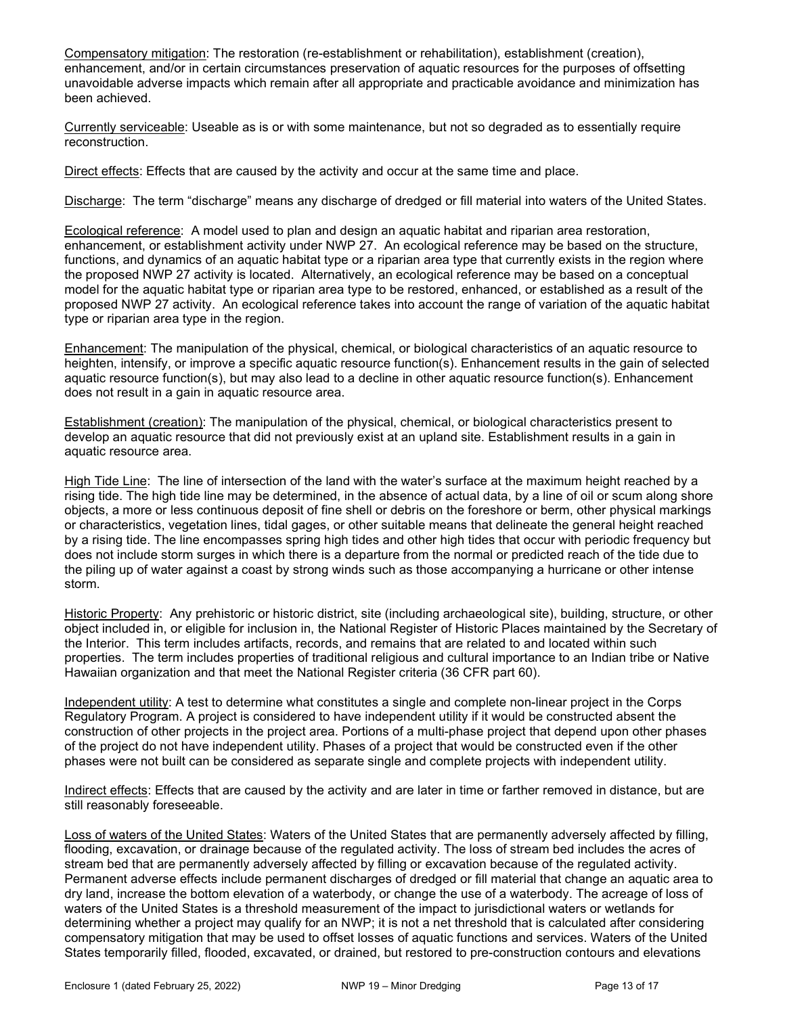Compensatory mitigation: The restoration (re-establishment or rehabilitation), establishment (creation), enhancement, and/or in certain circumstances preservation of aquatic resources for the purposes of offsetting unavoidable adverse impacts which remain after all appropriate and practicable avoidance and minimization has been achieved.

Currently serviceable: Useable as is or with some maintenance, but not so degraded as to essentially require reconstruction.

Direct effects: Effects that are caused by the activity and occur at the same time and place.

Discharge: The term "discharge" means any discharge of dredged or fill material into waters of the United States.

Ecological reference: A model used to plan and design an aquatic habitat and riparian area restoration, enhancement, or establishment activity under NWP 27. An ecological reference may be based on the structure, functions, and dynamics of an aquatic habitat type or a riparian area type that currently exists in the region where the proposed NWP 27 activity is located. Alternatively, an ecological reference may be based on a conceptual model for the aquatic habitat type or riparian area type to be restored, enhanced, or established as a result of the proposed NWP 27 activity. An ecological reference takes into account the range of variation of the aquatic habitat type or riparian area type in the region.

Enhancement: The manipulation of the physical, chemical, or biological characteristics of an aquatic resource to heighten, intensify, or improve a specific aquatic resource function(s). Enhancement results in the gain of selected aquatic resource function(s), but may also lead to a decline in other aquatic resource function(s). Enhancement does not result in a gain in aquatic resource area.

Establishment (creation): The manipulation of the physical, chemical, or biological characteristics present to develop an aquatic resource that did not previously exist at an upland site. Establishment results in a gain in aquatic resource area.

High Tide Line: The line of intersection of the land with the water's surface at the maximum height reached by a rising tide. The high tide line may be determined, in the absence of actual data, by a line of oil or scum along shore objects, a more or less continuous deposit of fine shell or debris on the foreshore or berm, other physical markings or characteristics, vegetation lines, tidal gages, or other suitable means that delineate the general height reached by a rising tide. The line encompasses spring high tides and other high tides that occur with periodic frequency but does not include storm surges in which there is a departure from the normal or predicted reach of the tide due to the piling up of water against a coast by strong winds such as those accompanying a hurricane or other intense storm.

Historic Property: Any prehistoric or historic district, site (including archaeological site), building, structure, or other object included in, or eligible for inclusion in, the National Register of Historic Places maintained by the Secretary of the Interior. This term includes artifacts, records, and remains that are related to and located within such properties. The term includes properties of traditional religious and cultural importance to an Indian tribe or Native Hawaiian organization and that meet the National Register criteria (36 CFR part 60).

Independent utility: A test to determine what constitutes a single and complete non-linear project in the Corps Regulatory Program. A project is considered to have independent utility if it would be constructed absent the construction of other projects in the project area. Portions of a multi-phase project that depend upon other phases of the project do not have independent utility. Phases of a project that would be constructed even if the other phases were not built can be considered as separate single and complete projects with independent utility.

Indirect effects: Effects that are caused by the activity and are later in time or farther removed in distance, but are still reasonably foreseeable.

Loss of waters of the United States: Waters of the United States that are permanently adversely affected by filling, flooding, excavation, or drainage because of the regulated activity. The loss of stream bed includes the acres of stream bed that are permanently adversely affected by filling or excavation because of the regulated activity. Permanent adverse effects include permanent discharges of dredged or fill material that change an aquatic area to dry land, increase the bottom elevation of a waterbody, or change the use of a waterbody. The acreage of loss of waters of the United States is a threshold measurement of the impact to jurisdictional waters or wetlands for determining whether a project may qualify for an NWP; it is not a net threshold that is calculated after considering compensatory mitigation that may be used to offset losses of aquatic functions and services. Waters of the United States temporarily filled, flooded, excavated, or drained, but restored to pre-construction contours and elevations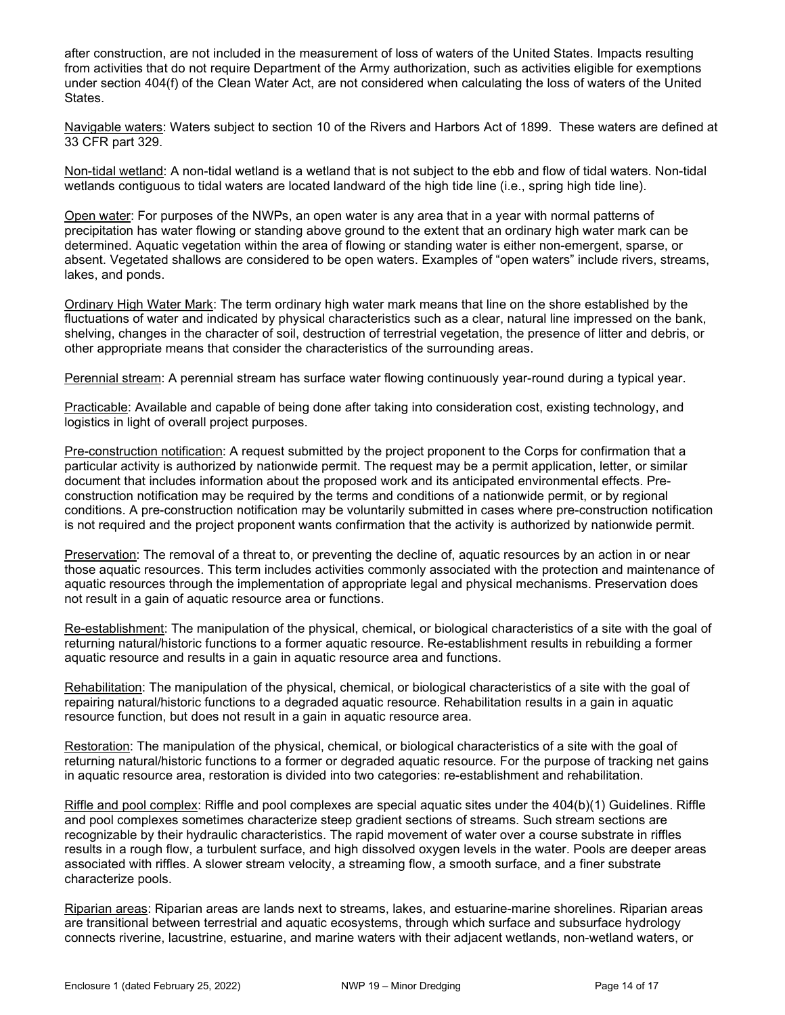after construction, are not included in the measurement of loss of waters of the United States. Impacts resulting from activities that do not require Department of the Army authorization, such as activities eligible for exemptions under section 404(f) of the Clean Water Act, are not considered when calculating the loss of waters of the United States.

Navigable waters: Waters subject to section 10 of the Rivers and Harbors Act of 1899. These waters are defined at 33 CFR part 329.

Non-tidal wetland: A non-tidal wetland is a wetland that is not subject to the ebb and flow of tidal waters. Non-tidal wetlands contiguous to tidal waters are located landward of the high tide line (i.e., spring high tide line).

Open water: For purposes of the NWPs, an open water is any area that in a year with normal patterns of precipitation has water flowing or standing above ground to the extent that an ordinary high water mark can be determined. Aquatic vegetation within the area of flowing or standing water is either non-emergent, sparse, or absent. Vegetated shallows are considered to be open waters. Examples of "open waters" include rivers, streams, lakes, and ponds.

Ordinary High Water Mark: The term ordinary high water mark means that line on the shore established by the fluctuations of water and indicated by physical characteristics such as a clear, natural line impressed on the bank, shelving, changes in the character of soil, destruction of terrestrial vegetation, the presence of litter and debris, or other appropriate means that consider the characteristics of the surrounding areas.

Perennial stream: A perennial stream has surface water flowing continuously year-round during a typical year.

Practicable: Available and capable of being done after taking into consideration cost, existing technology, and logistics in light of overall project purposes.

Pre-construction notification: A request submitted by the project proponent to the Corps for confirmation that a particular activity is authorized by nationwide permit. The request may be a permit application, letter, or similar document that includes information about the proposed work and its anticipated environmental effects. Preconstruction notification may be required by the terms and conditions of a nationwide permit, or by regional conditions. A pre-construction notification may be voluntarily submitted in cases where pre-construction notification is not required and the project proponent wants confirmation that the activity is authorized by nationwide permit.

Preservation: The removal of a threat to, or preventing the decline of, aquatic resources by an action in or near those aquatic resources. This term includes activities commonly associated with the protection and maintenance of aquatic resources through the implementation of appropriate legal and physical mechanisms. Preservation does not result in a gain of aquatic resource area or functions.

Re-establishment: The manipulation of the physical, chemical, or biological characteristics of a site with the goal of returning natural/historic functions to a former aquatic resource. Re-establishment results in rebuilding a former aquatic resource and results in a gain in aquatic resource area and functions.

Rehabilitation: The manipulation of the physical, chemical, or biological characteristics of a site with the goal of repairing natural/historic functions to a degraded aquatic resource. Rehabilitation results in a gain in aquatic resource function, but does not result in a gain in aquatic resource area.

Restoration: The manipulation of the physical, chemical, or biological characteristics of a site with the goal of returning natural/historic functions to a former or degraded aquatic resource. For the purpose of tracking net gains in aquatic resource area, restoration is divided into two categories: re-establishment and rehabilitation.

Riffle and pool complex: Riffle and pool complexes are special aquatic sites under the 404(b)(1) Guidelines. Riffle and pool complexes sometimes characterize steep gradient sections of streams. Such stream sections are recognizable by their hydraulic characteristics. The rapid movement of water over a course substrate in riffles results in a rough flow, a turbulent surface, and high dissolved oxygen levels in the water. Pools are deeper areas associated with riffles. A slower stream velocity, a streaming flow, a smooth surface, and a finer substrate characterize pools.

Riparian areas: Riparian areas are lands next to streams, lakes, and estuarine-marine shorelines. Riparian areas are transitional between terrestrial and aquatic ecosystems, through which surface and subsurface hydrology connects riverine, lacustrine, estuarine, and marine waters with their adjacent wetlands, non-wetland waters, or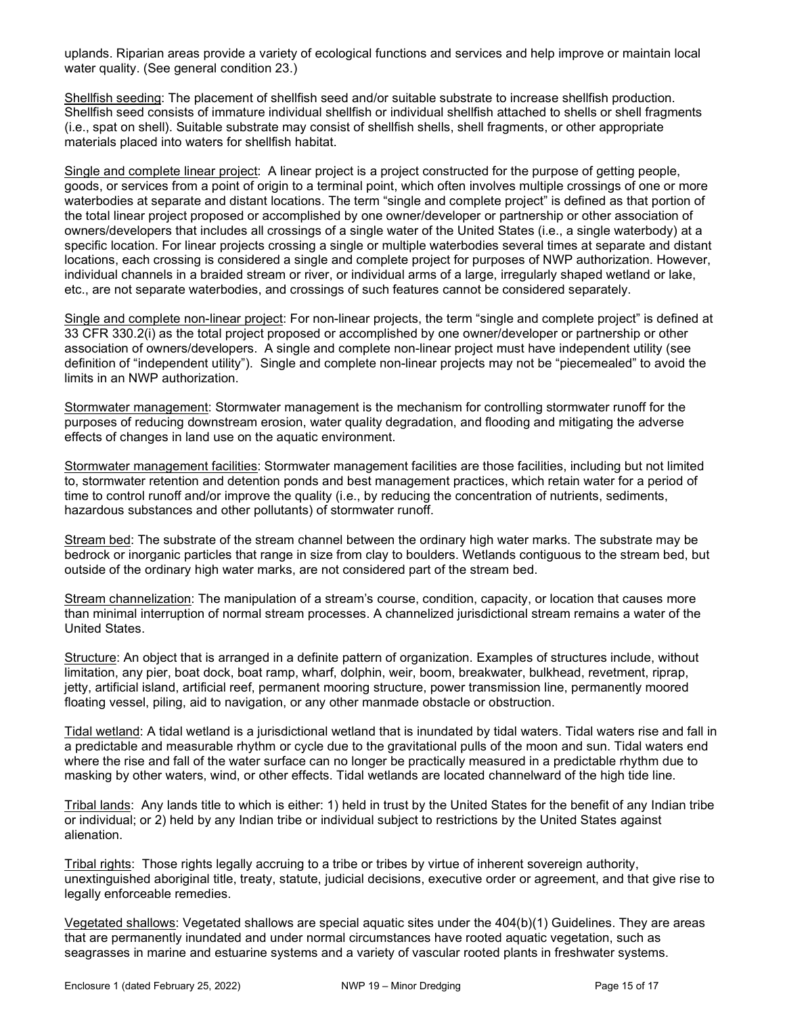uplands. Riparian areas provide a variety of ecological functions and services and help improve or maintain local water quality. (See general condition 23.)

Shellfish seeding: The placement of shellfish seed and/or suitable substrate to increase shellfish production. Shellfish seed consists of immature individual shellfish or individual shellfish attached to shells or shell fragments (i.e., spat on shell). Suitable substrate may consist of shellfish shells, shell fragments, or other appropriate materials placed into waters for shellfish habitat.

Single and complete linear project: A linear project is a project constructed for the purpose of getting people, goods, or services from a point of origin to a terminal point, which often involves multiple crossings of one or more waterbodies at separate and distant locations. The term "single and complete project" is defined as that portion of the total linear project proposed or accomplished by one owner/developer or partnership or other association of owners/developers that includes all crossings of a single water of the United States (i.e., a single waterbody) at a specific location. For linear projects crossing a single or multiple waterbodies several times at separate and distant locations, each crossing is considered a single and complete project for purposes of NWP authorization. However, individual channels in a braided stream or river, or individual arms of a large, irregularly shaped wetland or lake, etc., are not separate waterbodies, and crossings of such features cannot be considered separately.

Single and complete non-linear project: For non-linear projects, the term "single and complete project" is defined at 33 CFR 330.2(i) as the total project proposed or accomplished by one owner/developer or partnership or other association of owners/developers. A single and complete non-linear project must have independent utility (see definition of "independent utility"). Single and complete non-linear projects may not be "piecemealed" to avoid the limits in an NWP authorization.

Stormwater management: Stormwater management is the mechanism for controlling stormwater runoff for the purposes of reducing downstream erosion, water quality degradation, and flooding and mitigating the adverse effects of changes in land use on the aquatic environment.

Stormwater management facilities: Stormwater management facilities are those facilities, including but not limited to, stormwater retention and detention ponds and best management practices, which retain water for a period of time to control runoff and/or improve the quality (i.e., by reducing the concentration of nutrients, sediments, hazardous substances and other pollutants) of stormwater runoff.

Stream bed: The substrate of the stream channel between the ordinary high water marks. The substrate may be bedrock or inorganic particles that range in size from clay to boulders. Wetlands contiguous to the stream bed, but outside of the ordinary high water marks, are not considered part of the stream bed.

Stream channelization: The manipulation of a stream's course, condition, capacity, or location that causes more than minimal interruption of normal stream processes. A channelized jurisdictional stream remains a water of the United States.

Structure: An object that is arranged in a definite pattern of organization. Examples of structures include, without limitation, any pier, boat dock, boat ramp, wharf, dolphin, weir, boom, breakwater, bulkhead, revetment, riprap, jetty, artificial island, artificial reef, permanent mooring structure, power transmission line, permanently moored floating vessel, piling, aid to navigation, or any other manmade obstacle or obstruction.

Tidal wetland: A tidal wetland is a jurisdictional wetland that is inundated by tidal waters. Tidal waters rise and fall in a predictable and measurable rhythm or cycle due to the gravitational pulls of the moon and sun. Tidal waters end where the rise and fall of the water surface can no longer be practically measured in a predictable rhythm due to masking by other waters, wind, or other effects. Tidal wetlands are located channelward of the high tide line.

Tribal lands: Any lands title to which is either: 1) held in trust by the United States for the benefit of any Indian tribe or individual; or 2) held by any Indian tribe or individual subject to restrictions by the United States against alienation.

Tribal rights: Those rights legally accruing to a tribe or tribes by virtue of inherent sovereign authority, unextinguished aboriginal title, treaty, statute, judicial decisions, executive order or agreement, and that give rise to legally enforceable remedies.

Vegetated shallows: Vegetated shallows are special aquatic sites under the 404(b)(1) Guidelines. They are areas that are permanently inundated and under normal circumstances have rooted aquatic vegetation, such as seagrasses in marine and estuarine systems and a variety of vascular rooted plants in freshwater systems.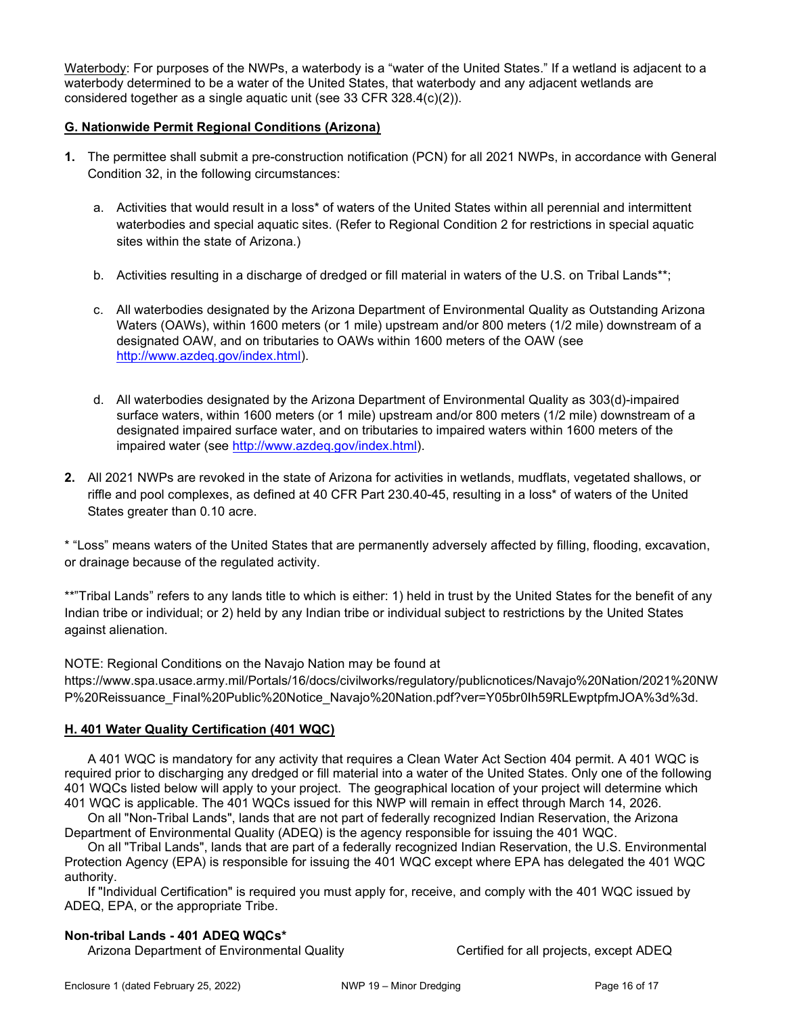Waterbody: For purposes of the NWPs, a waterbody is a "water of the United States." If a wetland is adjacent to a waterbody determined to be a water of the United States, that waterbody and any adjacent wetlands are considered together as a single aquatic unit (see 33 CFR 328.4(c)(2)).

### G. Nationwide Permit Regional Conditions (Arizona)

- 1. The permittee shall submit a pre-construction notification (PCN) for all 2021 NWPs, in accordance with General Condition 32, in the following circumstances:
	- a. Activities that would result in a loss\* of waters of the United States within all perennial and intermittent waterbodies and special aquatic sites. (Refer to Regional Condition 2 for restrictions in special aquatic sites within the state of Arizona.)
	- b. Activities resulting in a discharge of dredged or fill material in waters of the U.S. on Tribal Lands\*\*;
	- c. All waterbodies designated by the Arizona Department of Environmental Quality as Outstanding Arizona Waters (OAWs), within 1600 meters (or 1 mile) upstream and/or 800 meters (1/2 mile) downstream of a designated OAW, and on tributaries to OAWs within 1600 meters of the OAW (see http://www.azdeq.gov/index.html).
	- d. All waterbodies designated by the Arizona Department of Environmental Quality as 303(d)-impaired surface waters, within 1600 meters (or 1 mile) upstream and/or 800 meters (1/2 mile) downstream of a designated impaired surface water, and on tributaries to impaired waters within 1600 meters of the impaired water (see http://www.azdeq.gov/index.html).
- 2. All 2021 NWPs are revoked in the state of Arizona for activities in wetlands, mudflats, vegetated shallows, or riffle and pool complexes, as defined at 40 CFR Part 230.40-45, resulting in a loss\* of waters of the United States greater than 0.10 acre.

\* "Loss" means waters of the United States that are permanently adversely affected by filling, flooding, excavation, or drainage because of the regulated activity.

\*\*"Tribal Lands" refers to any lands title to which is either: 1) held in trust by the United States for the benefit of any Indian tribe or individual; or 2) held by any Indian tribe or individual subject to restrictions by the United States against alienation.

NOTE: Regional Conditions on the Navajo Nation may be found at

https://www.spa.usace.army.mil/Portals/16/docs/civilworks/regulatory/publicnotices/Navajo%20Nation/2021%20NW P%20Reissuance\_Final%20Public%20Notice\_Navajo%20Nation.pdf?ver=Y05br0Ih59RLEwptpfmJOA%3d%3d.

#### H. 401 Water Quality Certification (401 WQC)

 A 401 WQC is mandatory for any activity that requires a Clean Water Act Section 404 permit. A 401 WQC is required prior to discharging any dredged or fill material into a water of the United States. Only one of the following 401 WQCs listed below will apply to your project. The geographical location of your project will determine which 401 WQC is applicable. The 401 WQCs issued for this NWP will remain in effect through March 14, 2026.

 On all "Non-Tribal Lands", lands that are not part of federally recognized Indian Reservation, the Arizona Department of Environmental Quality (ADEQ) is the agency responsible for issuing the 401 WQC.

 On all "Tribal Lands", lands that are part of a federally recognized Indian Reservation, the U.S. Environmental Protection Agency (EPA) is responsible for issuing the 401 WQC except where EPA has delegated the 401 WQC authority.

 If "Individual Certification" is required you must apply for, receive, and comply with the 401 WQC issued by ADEQ, EPA, or the appropriate Tribe.

#### Non-tribal Lands - 401 ADEQ WQCs\*

Arizona Department of Environmental Quality Certified for all projects, except ADEQ